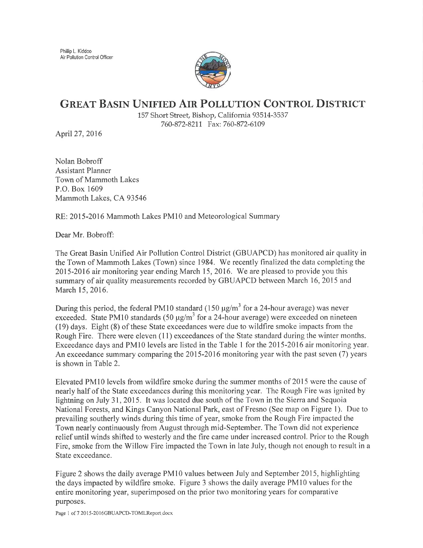Phillip L, Kiddoo Air Pollution Control Officer



## GREAT BASIN UNIFIED AIR POLLUTION CONTROL DISTRICT

157 Short Street, Bishop, California 93514-3537 760-872-8211 Fax: 760-872-6109

April 27, 2016

Nolan Bobroff Assistant Planner Town of Mammoth Lakes P.O. Box 1609 Mammoth Lakes, CA93546

RE: 2015-2016 Mammoth Lakes PMl0 and Meteorological Summary

Dear Mr. Bobroff:

The Great Basin Unified Air Pollution Control District (GBUAPCD) has monitored air quality in the Town of Mammoth Lakes (Town) since 1984. We recently finalized the data completing the 2015-2016 air monitoring year ending March 15,2076. We are pleased to provide you this summary of air quality measurements recorded by GBUAPCD between March 16,2015 and March 15,2016.

During this period, the federal PM10 standard (150  $\mu$ g/m<sup>3</sup> for a 24-hour average) was never exceeded. State PM10 standards  $(50 \text{ kg/m}^3 \text{ for a } 24\text{-hour average})$  were exceeded on nineteen (19) days. Eight (8) of these State exceedances were due to wildfire smoke impacts from the Rough Fire. There were eleven (11) exceedances of the State standard during the winter months. Exceedance days and PMl0 levels are listed in the Table I for the 2015-2016 air rnonitoring year. An exceedance summary comparing the  $2015-2016$  monitoring year with the past seven (7) years is shown in Table 2.

Elevated PM10 levels from wildfire smoke during the summer months of 2015 were the cause of nearly half of the State exceedances during this monitoring year. The Rough Fire was ignited by lightning on July 31, 2015. It was located due south of the Town in the Sierra and Sequoia National Forests, and Kings Canyon National Park, east of Fresno (See map on Figure 1). Due to prevailing southerly winds during this time of year, smoke from the Rough Fire impacted the Town nearly continuously from August through mid-September. The Town did not experience relief until winds shifted to westerly and the fire came under increased control. Prior to the Rough Fire, smoke from the Willow Fire impacted the Town in late July, though not enough to result in a State exceedance.

Figure 2 shows the daily average PM10 values between July and September 2015, highlighting the days impacted by wildfire smoke. Figure 3 shows the daily average PM 10 values for the entire monitoring year, superimposed on the prior two monitoring years for comparative purposes.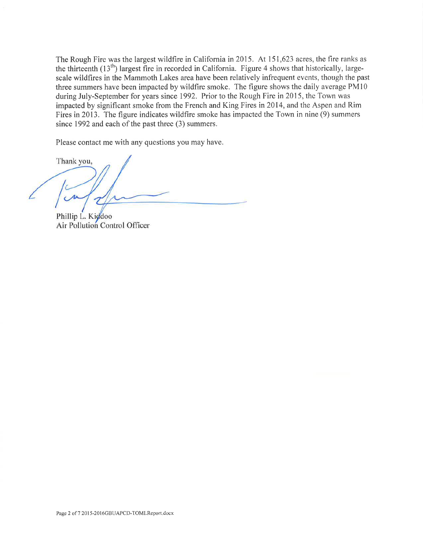The Rough Fire was the largest wildfire in California in 2015. At 151,623 acres, the fire ranks as the thirteenth  $(13<sup>th</sup>)$  largest fire in recorded in California. Figure 4 shows that historically, largescale wildfires in the Mammoth Lakes area have been relatively infrequent events, though the past three summers have been impacted by wildfire smoke. The figure shows the daily average PM10 during July-September for years since 1992. Prior to the Rough Fire in 2015, the Town was impacted by significant smoke from the French and King Fires in 2014, and the Aspen and Rim Fires in 2013. The figure indicates wildfire smoke has impacted the Town in nine (9) summers since 1992 and each of the past three (3) summers.

Please contact me with any questions you may have.

Thank you,

Phillip L. Kiddoo Air Pollution Control Officer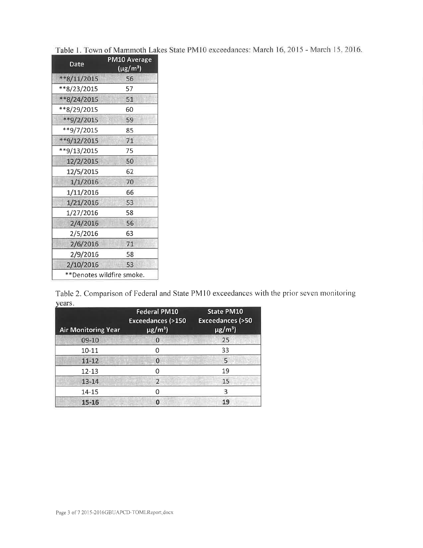| Date        | <b>PM10 Average</b><br>$(\mu$ g/m <sup>3</sup> ) |
|-------------|--------------------------------------------------|
| **8/11/2015 | 56                                               |
| **8/23/2015 | 57                                               |
| **8/24/2015 | 51                                               |
| **8/29/2015 | 60                                               |
| **9/2/2015  | 59                                               |
| **9/7/2015  | 85                                               |
| **9/12/2015 | 71                                               |
| **9/13/2015 | 75                                               |
| 12/2/2015   | 50                                               |
| 12/5/2015   | 62                                               |
| 1/1/2016    | 70                                               |
| 1/11/2016   | 66                                               |
| 1/21/2016   | 53                                               |
| 1/27/2016   | 58                                               |
| 2/4/2016    | 56                                               |
| 2/5/2016    | 63                                               |
| 2/6/2016    | 71                                               |
| 2/9/2016    | 58                                               |
| 2/10/2016   | 53                                               |
|             | **Denotes wildfire smoke.                        |

Table 1. Town of Mammoth Lakes State PM10 exceedances: March 16, 2015 - March 15, 2016.

Table 2. Comparison of Federal and State PM10 exceedances with the prior seven monitoring years.

| <b>Air Monitoring Year</b> | <b>Federal PM10</b><br><b>Exceedances (&gt;150</b><br>$\mu$ g/m <sup>3</sup> ) | <b>State PM10</b><br><b>Exceedances (&gt;50</b><br>$\overline{\mu g/m^3}$ |
|----------------------------|--------------------------------------------------------------------------------|---------------------------------------------------------------------------|
| 09-10                      | $\Omega$                                                                       | 25                                                                        |
| $10 - 11$                  | ი                                                                              | 33                                                                        |
| $11 - 12$                  | $\Omega$                                                                       | 5                                                                         |
| 12-13                      |                                                                                | 19                                                                        |
| $13 - 14$                  | $\overline{\phantom{a}}$                                                       | 15                                                                        |
| 14-15                      |                                                                                | 3                                                                         |
| 15-16                      | o                                                                              | 19                                                                        |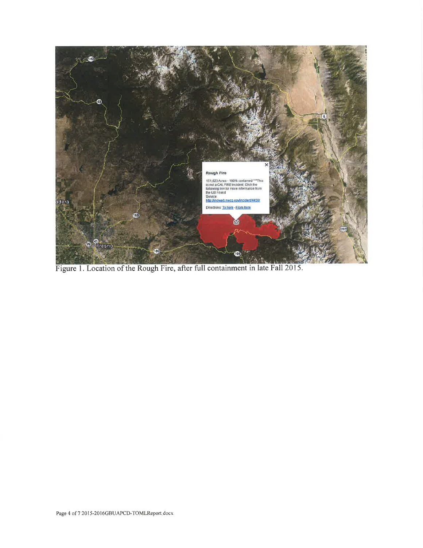

Figure 1. Location of the Rough Fire, after full containment in late Fall 2015.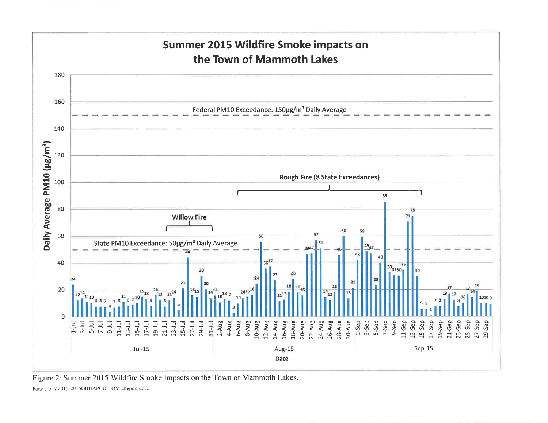

Figure 2: Summer 2015 Wildfire Smoke Impacts on the Town of Mammoth Lakes.

Page 5 of 7 2015-2016GBUAPCD-TOMLReport docx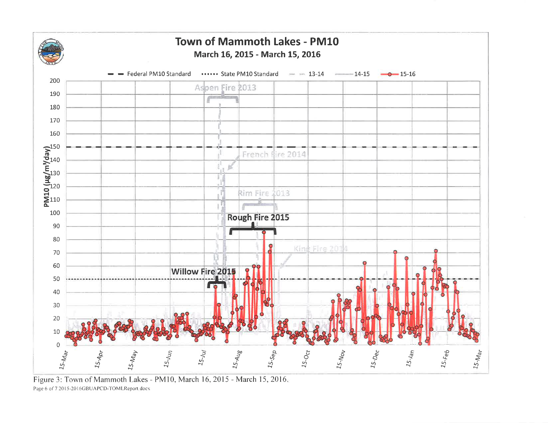

Figure 3: Town of Mammoth Lakes - PM10, March 16, 2015 - March 15, 2016. Page 6 of 7 2015-2016GBUAPCD-TOMLReport docx